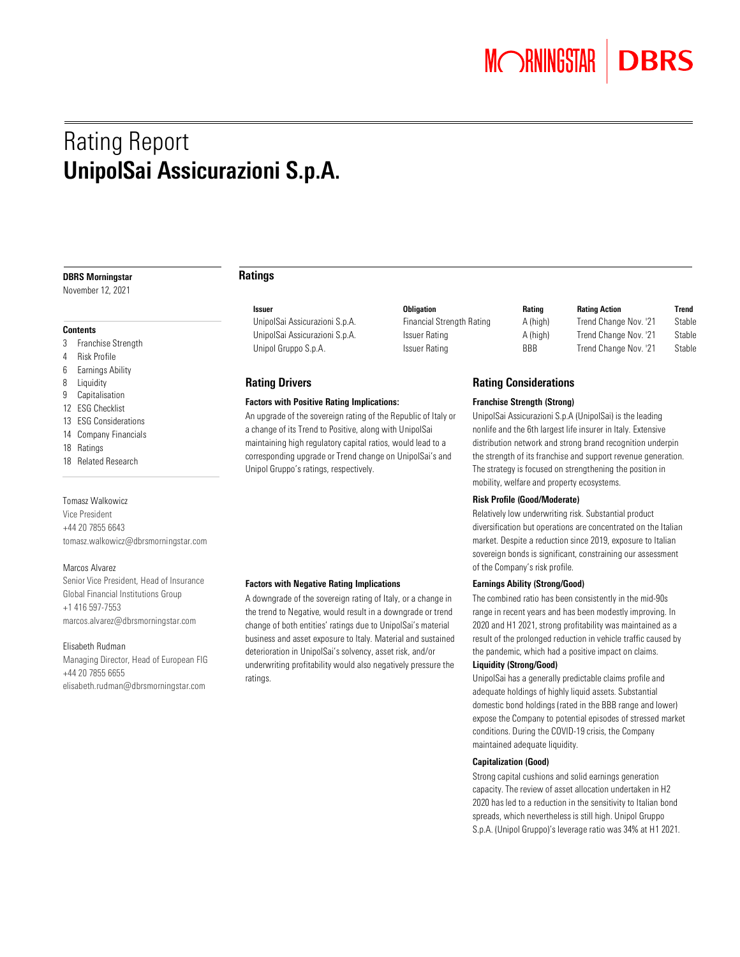## Rating Report UnipolSai Assicurazioni S.p.A.

#### DBRS Morningstar

November 12, 2021

#### **Contents**

- 3 Franchise Strength
- 4 Risk Profile
- 6 Earnings Ability
- 8 Liquidity
- 9 Capitalisation
- 12 ESG Checklist
- 13 ESG Considerations
- 14 Company Financials
- 18 Ratings
- 18 Related Research

#### Tomasz Walkowicz

Vice President +44 20 7855 6643 [tomasz.walkowicz@dbrsmorningstar.com](mailto:tomasz.walkowicz@dbrsmorningstar.com)

#### Marcos Alvarez

Senior Vice President, Head of Insurance Global Financial Institutions Group +1 416 597-7553 [marcos.alvarez@dbrsmorningstar.com](mailto:marcos.alvarez@dbrsmorningstar.com)

#### Elisabeth Rudman

Managing Director, Head of European FIG +44 20 7855 6655 [elisabeth.rudman@dbrsmorningstar.com](mailto:elisabeth.rudman@dbrsmorningstar.com)

#### Ratings

Unipol Gruppo S.p.A. **ISSUER A** Issuer Rating **BBB** Trend Change Nov. '21 Stable

#### Rating Drivers

#### Factors with Positive Rating Implications:

An upgrade of the sovereign rating of the Republic of Italy or a change of its Trend to Positive, along with UnipolSai maintaining high regulatory capital ratios, would lead to a corresponding upgrade or Trend change on UnipolSai's and Unipol Gruppo's ratings, respectively.

#### Factors with Negative Rating Implications

A downgrade of the sovereign rating of Italy, or a change in the trend to Negative, would result in a downgrade or trend change of both entities' ratings due to UnipolSai's material business and asset exposure to Italy. Material and sustained deterioration in UnipolSai's solvency, asset risk, and/or underwriting profitability would also negatively pressure the ratings.

| bligation                |  |
|--------------------------|--|
| inancial Strength Rating |  |
| ssuer Rating             |  |
| ssuer Ratino             |  |

#### Issuer Obligation Rating Rating Action Trend UnipolSai Assicurazioni S.p.A. Financial Strength Rating A (high) Trend Change Nov. '21 Stable UnipolSai Assicurazioni S.p.A. Issuer Rating A (high) Trend Change Nov. '21 Stable

#### Rating Considerations

#### Franchise Strength (Strong)

UnipolSai Assicurazioni S.p.A (UnipolSai) is the leading nonlife and the 6th largest life insurer in Italy. Extensive distribution network and strong brand recognition underpin the strength of its franchise and support revenue generation. The strategy is focused on strengthening the position in mobility, welfare and property ecosystems.

#### Risk Profile (Good/Moderate)

Relatively low underwriting risk. Substantial product diversification but operations are concentrated on the Italian market. Despite a reduction since 2019, exposure to Italian sovereign bonds is significant, constraining our assessment of the Company's risk profile.

#### Earnings Ability (Strong/Good)

The combined ratio has been consistently in the mid-90s range in recent years and has been modestly improving. In 2020 and H1 2021, strong profitability was maintained as a result of the prolonged reduction in vehicle traffic caused by the pandemic, which had a positive impact on claims.

#### Liquidity (Strong/Good)

UnipolSai has a generally predictable claims profile and adequate holdings of highly liquid assets. Substantial domestic bond holdings (rated in the BBB range and lower) expose the Company to potential episodes of stressed market conditions. During the COVID-19 crisis, the Company maintained adequate liquidity.

#### Capitalization (Good)

Strong capital cushions and solid earnings generation capacity. The review of asset allocation undertaken in H2 2020 has led to a reduction in the sensitivity to Italian bond spreads, which nevertheless is still high. Unipol Gruppo S.p.A. (Unipol Gruppo)'s leverage ratio was 34% at H1 2021.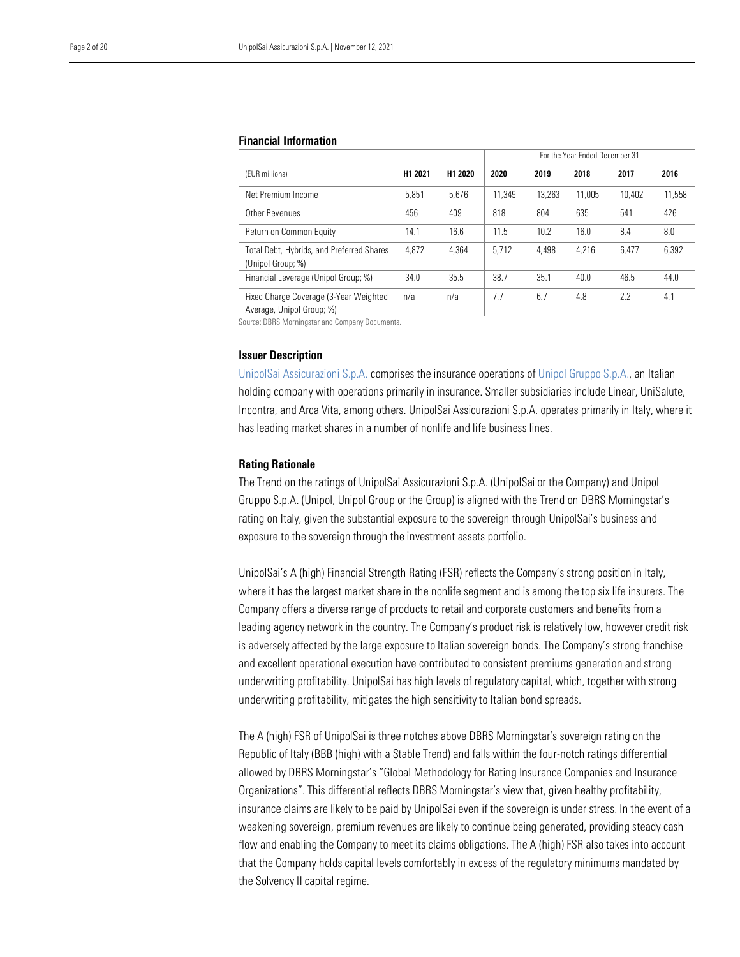#### Financial Information

|                                                                     |         |         | For the Year Ended December 31 |        |        |        |        |
|---------------------------------------------------------------------|---------|---------|--------------------------------|--------|--------|--------|--------|
| (EUR millions)                                                      | H1 2021 | H1 2020 | 2020                           | 2019   | 2018   | 2017   | 2016   |
| Net Premium Income                                                  | 5,851   | 5,676   | 11.349                         | 13.263 | 11.005 | 10.402 | 11.558 |
| Other Revenues                                                      | 456     | 409     | 818                            | 804    | 635    | 541    | 426    |
| Return on Common Equity                                             | 14.1    | 16.6    | 11.5                           | 10.2   | 16.0   | 8.4    | 8.0    |
| Total Debt, Hybrids, and Preferred Shares<br>(Unipol Group; %)      | 4,872   | 4.364   | 5.712                          | 4,498  | 4.216  | 6.477  | 6,392  |
| Financial Leverage (Unipol Group; %)                                | 34.0    | 35.5    | 38.7                           | 35.1   | 40.0   | 46.5   | 44.0   |
| Fixed Charge Coverage (3-Year Weighted<br>Average, Unipol Group; %) | n/a     | n/a     | 7.7                            | 6.7    | 4.8    | 2.2    | 4.1    |

Source: DBRS Morningstar and Company Documents.

#### Issuer Description

[UnipolSai Assicurazioni S.p.A.](https://www.dbrsmorningstar.com/issuers/24728) comprises the insurance operations o[f Unipol Gruppo](https://www.dbrsmorningstar.com/issuers/25915) S.p.A., an Italian holding company with operations primarily in insurance. Smaller subsidiaries include Linear, UniSalute, Incontra, and Arca Vita, among others. UnipolSai Assicurazioni S.p.A. operates primarily in Italy, where it has leading market shares in a number of nonlife and life business lines.

#### Rating Rationale

The Trend on the ratings of UnipolSai Assicurazioni S.p.A. (UnipolSai or the Company) and Unipol Gruppo S.p.A. (Unipol, Unipol Group or the Group) is aligned with the Trend on DBRS Morningstar's rating on Italy, given the substantial exposure to the sovereign through UnipolSai's business and exposure to the sovereign through the investment assets portfolio.

UnipolSai's A (high) Financial Strength Rating (FSR) reflects the Company's strong position in Italy, where it has the largest market share in the nonlife segment and is among the top six life insurers. The Company offers a diverse range of products to retail and corporate customers and benefits from a leading agency network in the country. The Company's product risk is relatively low, however credit risk is adversely affected by the large exposure to Italian sovereign bonds. The Company's strong franchise and excellent operational execution have contributed to consistent premiums generation and strong underwriting profitability. UnipolSai has high levels of regulatory capital, which, together with strong underwriting profitability, mitigates the high sensitivity to Italian bond spreads.

The A (high) FSR of UnipolSai is three notches above DBRS Morningstar's sovereign rating on the Republic of Italy (BBB (high) with a Stable Trend) and falls within the four-notch ratings differential allowed by DBRS Morningstar's "Global Methodology for Rating Insurance Companies and Insurance Organizations". This differential reflects DBRS Morningstar's view that, given healthy profitability, insurance claims are likely to be paid by UnipolSai even if the sovereign is under stress. In the event of a weakening sovereign, premium revenues are likely to continue being generated, providing steady cash flow and enabling the Company to meet its claims obligations. The A (high) FSR also takes into account that the Company holds capital levels comfortably in excess of the regulatory minimums mandated by the Solvency II capital regime.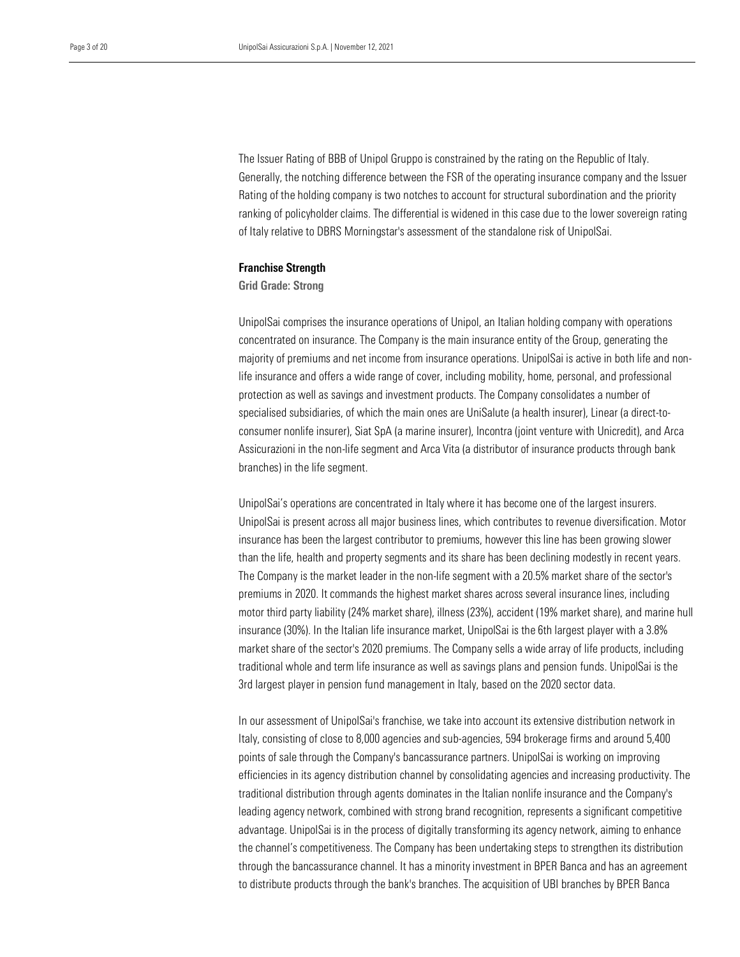The Issuer Rating of BBB of Unipol Gruppo is constrained by the rating on the Republic of Italy. Generally, the notching difference between the FSR of the operating insurance company and the Issuer ranking of policyholder claims. The differential is widened in this case due to the lower sovereign rating of Italy relative to DBRS Morningstar's assessment of the standalone risk of UnipolSai. Rating of the holding company is two notches to account for structural subordination and the priority

#### Franchise Strength

#### Grid Grade: Strong

UnipolSai comprises the insurance operations of Unipol, an Italian holding company with operations concentrated on insurance. The Company is the main insurance entity of the Group, generating the majority of premiums and net income from insurance operations. UnipolSai is active in both life and nonlife insurance and offers a wide range of cover, including mobility, home, personal, and professional protection as well as savings and investment products. The Company consolidates a number of specialised subsidiaries, of which the main ones are UniSalute (a health insurer), Linear (a direct-toconsumer nonlife insurer), Siat SpA (a marine insurer), Incontra (joint venture with Unicredit), and Arca Assicurazioni in the non-life segment and Arca Vita (a distributor of insurance products through bank branches) in the life segment.

UnipolSai's operations are concentrated in Italy where it has become one of the largest insurers. UnipolSai is present across all major business lines, which contributes to revenue diversification. Motor insurance has been the largest contributor to premiums, however this line has been growing slower than the life, health and property segments and its share has been declining modestly in recent years. The Company is the market leader in the non-life segment with a 20.5% market share of the sector's premiums in 2020. It commands the highest market shares across several insurance lines, including motor third party liability (24% market share), illness (23%), accident (19% market share), and marine hull insurance (30%). In the Italian life insurance market, UnipolSai is the 6th largest player with a 3.8% market share of the sector's 2020 premiums. The Company sells a wide array of life products, including traditional whole and term life insurance as well as savings plans and pension funds. UnipolSai is the 3rd largest player in pension fund management in Italy, based on the 2020 sector data.

In our assessment of UnipolSai's franchise, we take into account its extensive distribution network in Italy, consisting of close to 8,000 agencies and sub-agencies, 594 brokerage firms and around 5,400 points of sale through the Company's bancassurance partners. UnipolSai is working on improving efficiencies in its agency distribution channel by consolidating agencies and increasing productivity. The traditional distribution through agents dominates in the Italian nonlife insurance and the Company's leading agency network, combined with strong brand recognition, represents a significant competitive advantage. UnipolSai is in the process of digitally transforming its agency network, aiming to enhance the channel's competitiveness. The Company has been undertaking steps to strengthen its distribution through the bancassurance channel. It has a minority investment in BPER Banca and has an agreement to distribute products through the bank's branches. The acquisition of UBI branches by BPER Banca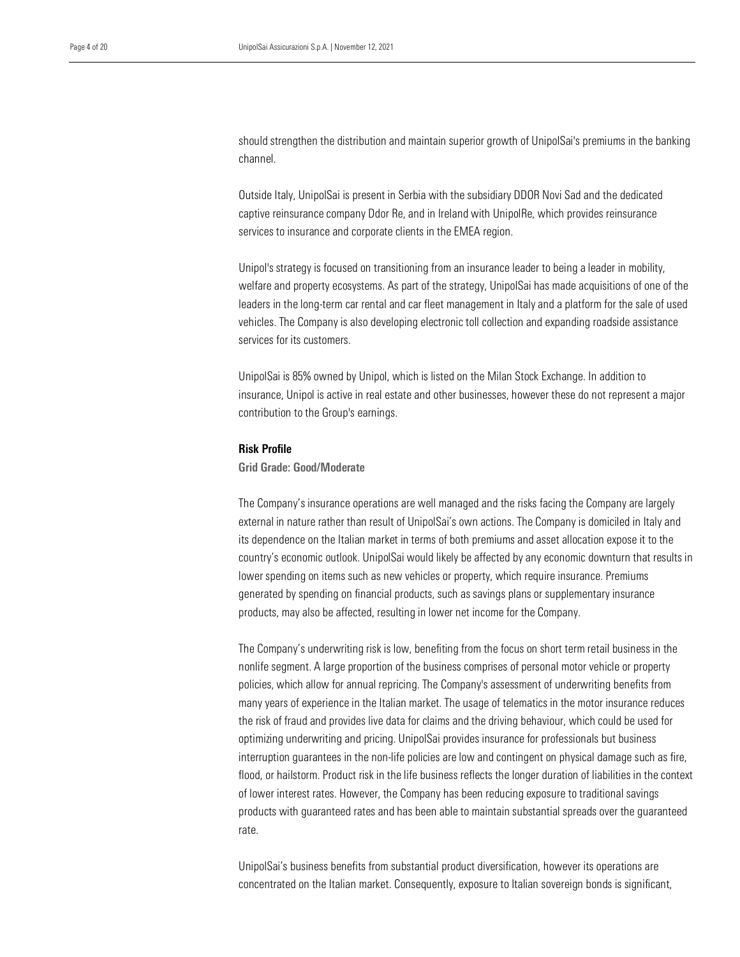channel. should strengthen the distribution and maintain superior growth of UnipolSai's premiums in the banking

 captive reinsurance company Ddor Re, and in Ireland with UnipolRe, which provides reinsurance services to insurance and corporate clients in the EMEA region. Outside Italy, UnipolSai is present in Serbia with the subsidiary DDOR Novi Sad and the dedicated

Unipol's strategy is focused on transitioning from an insurance leader to being a leader in mobility, welfare and property ecosystems. As part of the strategy, UnipolSai has made acquisitions of one of the leaders in the long-term car rental and car fleet management in Italy and a platform for the sale of used vehicles. The Company is also developing electronic toll collection and expanding roadside assistance services for its customers.

UnipolSai is 85% owned by Unipol, which is listed on the Milan Stock Exchange. In addition to insurance, Unipol is active in real estate and other businesses, however these do not represent a major contribution to the Group's earnings.

#### Risk Profile

#### Grid Grade: Good/Moderate

The Company's insurance operations are well managed and the risks facing the Company are largely external in nature rather than result of UnipolSai's own actions. The Company is domiciled in Italy and its dependence on the Italian market in terms of both premiums and asset allocation expose it to the country's economic outlook. UnipolSai would likely be affected by any economic downturn that results in lower spending on items such as new vehicles or property, which require insurance. Premiums generated by spending on financial products, such as savings plans or supplementary insurance products, may also be affected, resulting in lower net income for the Company.

The Company's underwriting risk is low, benefiting from the focus on short term retail business in the nonlife segment. A large proportion of the business comprises of personal motor vehicle or property policies, which allow for annual repricing. The Company's assessment of underwriting benefits from many years of experience in the Italian market. The usage of telematics in the motor insurance reduces the risk of fraud and provides live data for claims and the driving behaviour, which could be used for optimizing underwriting and pricing. UnipolSai provides insurance for professionals but business interruption guarantees in the non-life policies are low and contingent on physical damage such as fire, flood, or hailstorm. Product risk in the life business reflects the longer duration of liabilities in the context of lower interest rates. However, the Company has been reducing exposure to traditional savings products with guaranteed rates and has been able to maintain substantial spreads over the guaranteed rate.

UnipolSai's business benefits from substantial product diversification, however its operations are concentrated on the Italian market. Consequently, exposure to Italian sovereign bonds is significant,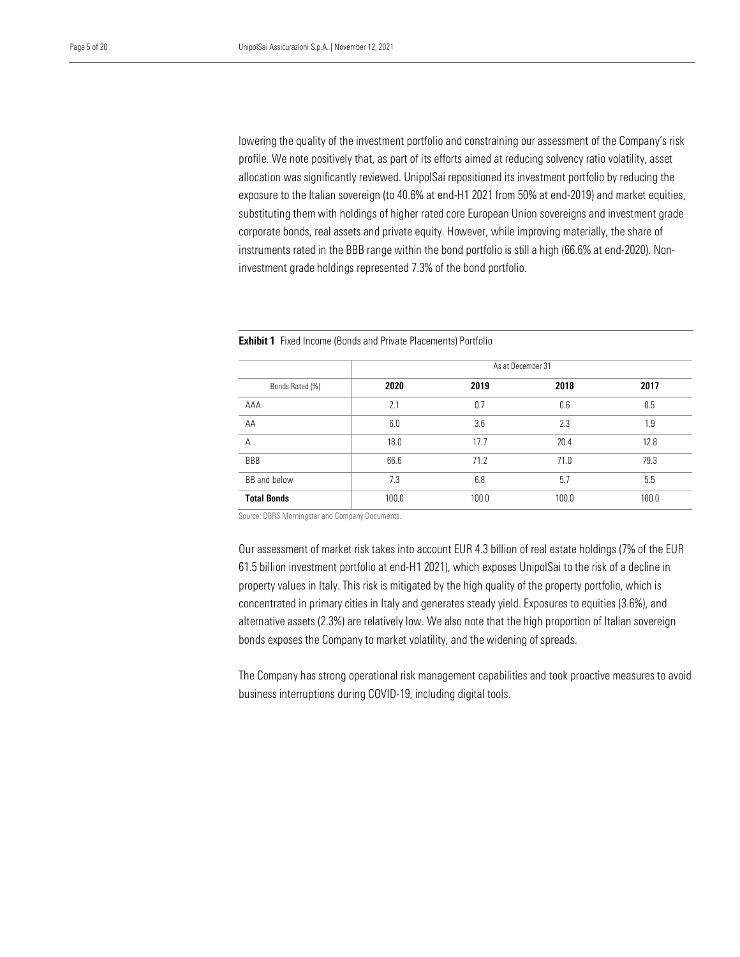profile. We note positively that, as part of its efforts aimed at reducing solvency ratio volatility, asset allocation was significantly reviewed. UnipolSai repositioned its investment portfolio by reducing the substituting them with holdings of higher rated core European Union sovereigns and investment grade corporate bonds, real assets and private equity. However, while improving materially, the share of lowering the quality of the investment portfolio and constraining our assessment of the Company's risk exposure to the Italian sovereign (to 40.6% at end-H1 2021 from 50% at end-2019) and market equities, instruments rated in the BBB range within the bond portfolio is still a high (66.6% at end-2020). Noninvestment grade holdings represented 7.3% of the bond portfolio.

|                    | As at December 31 |       |       |       |  |  |  |
|--------------------|-------------------|-------|-------|-------|--|--|--|
| Bonds Rated (%)    | 2020              | 2019  | 2018  | 2017  |  |  |  |
| AAA                | 2.1               | 0.7   | 0.6   | 0.5   |  |  |  |
| AA                 | 6.0               | 3.6   | 2.3   | 1.9   |  |  |  |
| A                  | 18.0              | 17.7  | 20.4  | 12.8  |  |  |  |
| <b>BBB</b>         | 66.6              | 71.2  | 71.0  | 79.3  |  |  |  |
| BB and below       | 7.3               | 6.8   | 5.7   | 5.5   |  |  |  |
| <b>Total Bonds</b> | 100.0             | 100.0 | 100.0 | 100.0 |  |  |  |

**Exhibit 1** Fixed Income (Bonds and Private Placements) Portfolio

Source: DBRS Morningstar and Company Documents.

Our assessment of market risk takes into account EUR 4.3 billion of real estate holdings (7% of the EUR 61.5 billion investment portfolio at end-H1 2021), which exposes UnipolSai to the risk of a decline in property values in Italy. This risk is mitigated by the high quality of the property portfolio, which is concentrated in primary cities in Italy and generates steady yield. Exposures to equities (3.6%), and alternative assets (2.3%) are relatively low. We also note that the high proportion of Italian sovereign bonds exposes the Company to market volatility, and the widening of spreads.

The Company has strong operational risk management capabilities and took proactive measures to avoid business interruptions during COVID-19, including digital tools.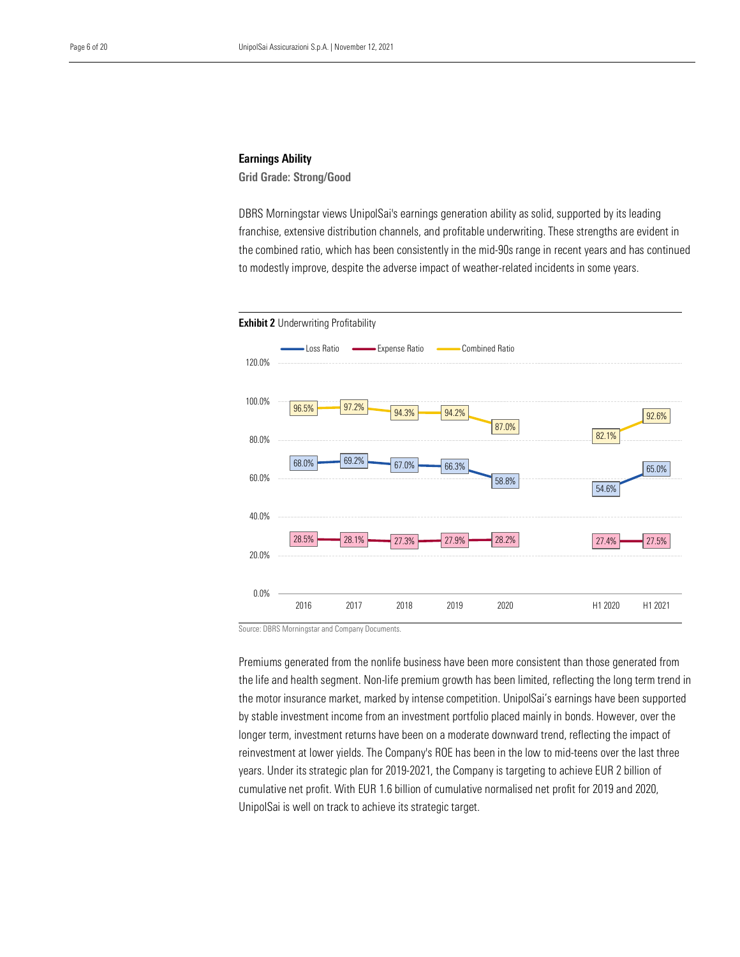#### Earnings Ability

Grid Grade: Strong/Good

 DBRS Morningstar views UnipolSai's earnings generation ability as solid, supported by its leading franchise, extensive distribution channels, and profitable underwriting. These strengths are evident in the combined ratio, which has been consistently in the mid-90s range in recent years and has continued to modestly improve, despite the adverse impact of weather-related incidents in some years.



Source: DBRS Morningstar and Company Documents.

Premiums generated from the nonlife business have been more consistent than those generated from the life and health segment. Non-life premium growth has been limited, reflecting the long term trend in the motor insurance market, marked by intense competition. UnipolSai's earnings have been supported by stable investment income from an investment portfolio placed mainly in bonds. However, over the longer term, investment returns have been on a moderate downward trend, reflecting the impact of reinvestment at lower yields. The Company's ROE has been in the low to mid-teens over the last three years. Under its strategic plan for 2019-2021, the Company is targeting to achieve EUR 2 billion of cumulative net profit. With EUR 1.6 billion of cumulative normalised net profit for 2019 and 2020, UnipolSai is well on track to achieve its strategic target.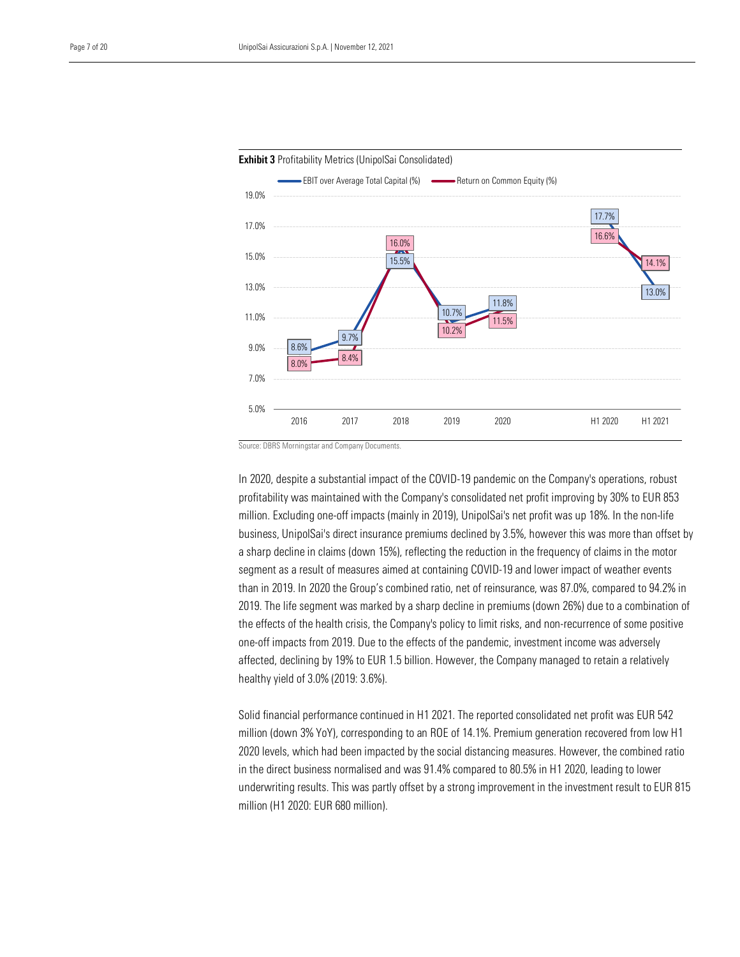



Source: DBRS Morningstar and Company Documents.

In 2020, despite a substantial impact of the COVID-19 pandemic on the Company's operations, robust profitability was maintained with the Company's consolidated net profit improving by 30% to EUR 853 million. Excluding one-off impacts (mainly in 2019), UnipolSai's net profit was up 18%. In the non-life business, UnipolSai's direct insurance premiums declined by 3.5%, however this was more than offset by a sharp decline in claims (down 15%), reflecting the reduction in the frequency of claims in the motor segment as a result of measures aimed at containing COVID-19 and lower impact of weather events than in 2019. In 2020 the Group's combined ratio, net of reinsurance, was 87.0%, compared to 94.2% in 2019. The life segment was marked by a sharp decline in premiums (down 26%) due to a combination of the effects of the health crisis, the Company's policy to limit risks, and non-recurrence of some positive one-off impacts from 2019. Due to the effects of the pandemic, investment income was adversely affected, declining by 19% to EUR 1.5 billion. However, the Company managed to retain a relatively healthy yield of 3.0% (2019: 3.6%).

Solid financial performance continued in H1 2021. The reported consolidated net profit was EUR 542 million (down 3% YoY), corresponding to an ROE of 14.1%. Premium generation recovered from low H1 2020 levels, which had been impacted by the social distancing measures. However, the combined ratio in the direct business normalised and was 91.4% compared to 80.5% in H1 2020, leading to lower underwriting results. This was partly offset by a strong improvement in the investment result to EUR 815 million (H1 2020: EUR 680 million).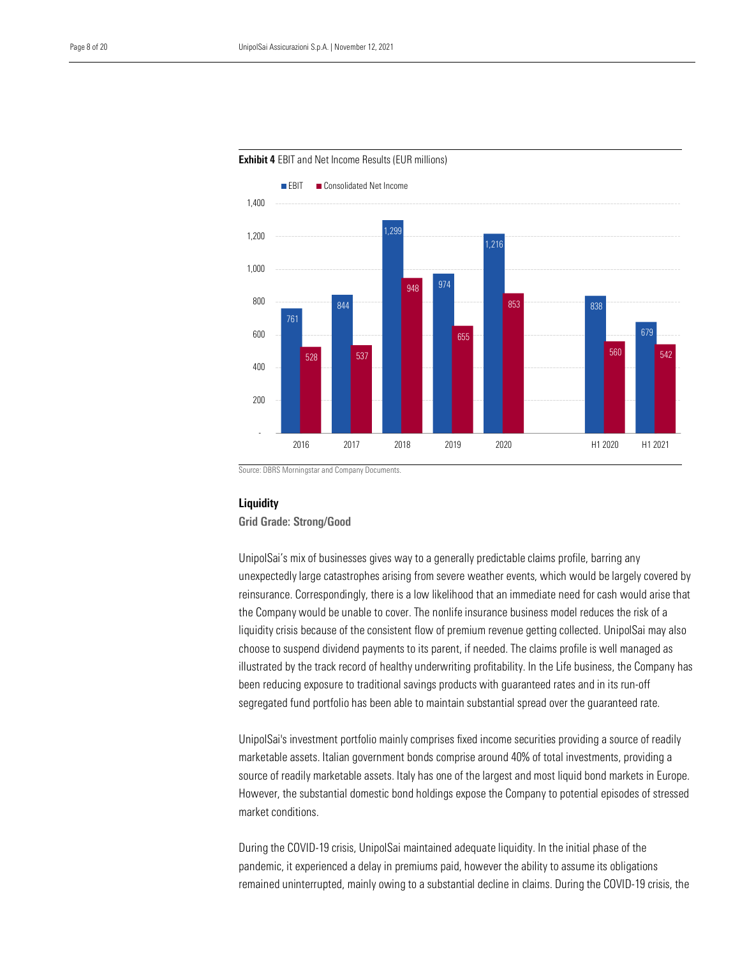

Exhibit 4 EBIT and Net Income Results (EUR millions)

Source: DBRS Morningstar and Company Documents.

#### **Liquidity**

Grid Grade: Strong/Good

UnipolSai's mix of businesses gives way to a generally predictable claims profile, barring any unexpectedly large catastrophes arising from severe weather events, which would be largely covered by reinsurance. Correspondingly, there is a low likelihood that an immediate need for cash would arise that the Company would be unable to cover. The nonlife insurance business model reduces the risk of a liquidity crisis because of the consistent flow of premium revenue getting collected. UnipolSai may also choose to suspend dividend payments to its parent, if needed. The claims profile is well managed as illustrated by the track record of healthy underwriting profitability. In the Life business, the Company has been reducing exposure to traditional savings products with guaranteed rates and in its run-off segregated fund portfolio has been able to maintain substantial spread over the guaranteed rate.

UnipolSai's investment portfolio mainly comprises fixed income securities providing a source of readily marketable assets. Italian government bonds comprise around 40% of total investments, providing a source of readily marketable assets. Italy has one of the largest and most liquid bond markets in Europe. However, the substantial domestic bond holdings expose the Company to potential episodes of stressed market conditions.

During the COVID-19 crisis, UnipolSai maintained adequate liquidity. In the initial phase of the pandemic, it experienced a delay in premiums paid, however the ability to assume its obligations remained uninterrupted, mainly owing to a substantial decline in claims. During the COVID-19 crisis, the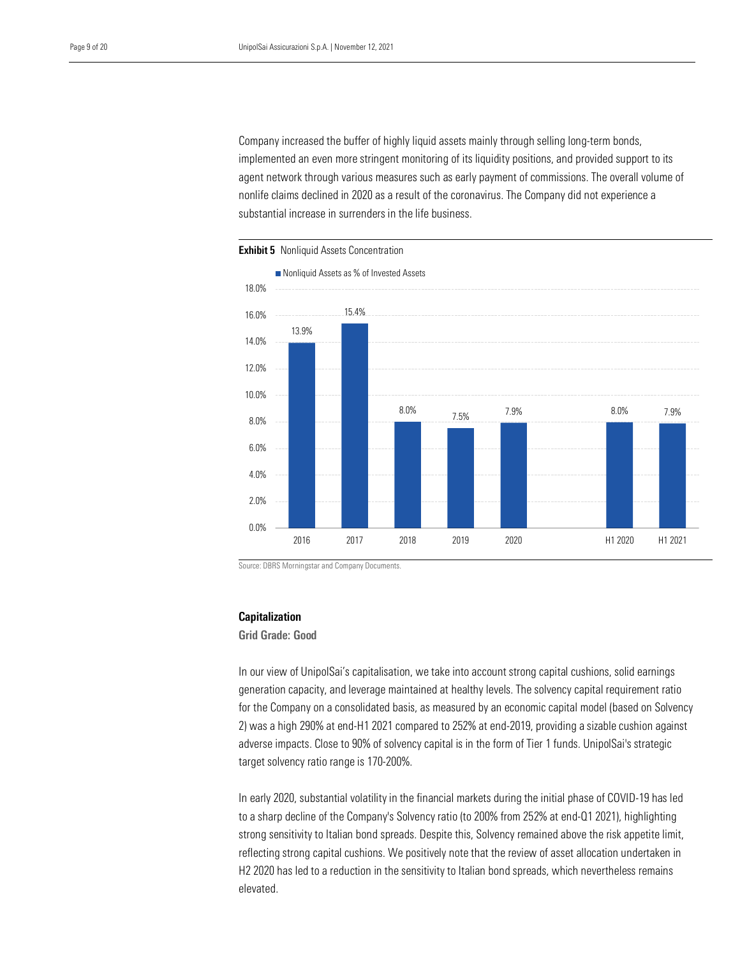implemented an even more stringent monitoring of its liquidity positions, and provided support to its agent network through various measures such as early payment of commissions. The overall volume of substantial increase in surrenders in the life business. Company increased the buffer of highly liquid assets mainly through selling long-term bonds, nonlife claims declined in 2020 as a result of the coronavirus. The Company did not experience a



**Exhibit 5** Nonliquid Assets Concentration

Source: DBRS Morningstar and Company Documents.

#### Capitalization

Grid Grade: Good

In our view of UnipolSai's capitalisation, we take into account strong capital cushions, solid earnings generation capacity, and leverage maintained at healthy levels. The solvency capital requirement ratio for the Company on a consolidated basis, as measured by an economic capital model (based on Solvency 2) was a high 290% at end-H1 2021 compared to 252% at end-2019, providing a sizable cushion against adverse impacts. Close to 90% of solvency capital is in the form of Tier 1 funds. UnipolSai's strategic target solvency ratio range is 170-200%.

In early 2020, substantial volatility in the financial markets during the initial phase of COVID-19 has led to a sharp decline of the Company's Solvency ratio (to 200% from 252% at end-Q1 2021), highlighting strong sensitivity to Italian bond spreads. Despite this, Solvency remained above the risk appetite limit, reflecting strong capital cushions. We positively note that the review of asset allocation undertaken in H2 2020 has led to a reduction in the sensitivity to Italian bond spreads, which nevertheless remains elevated.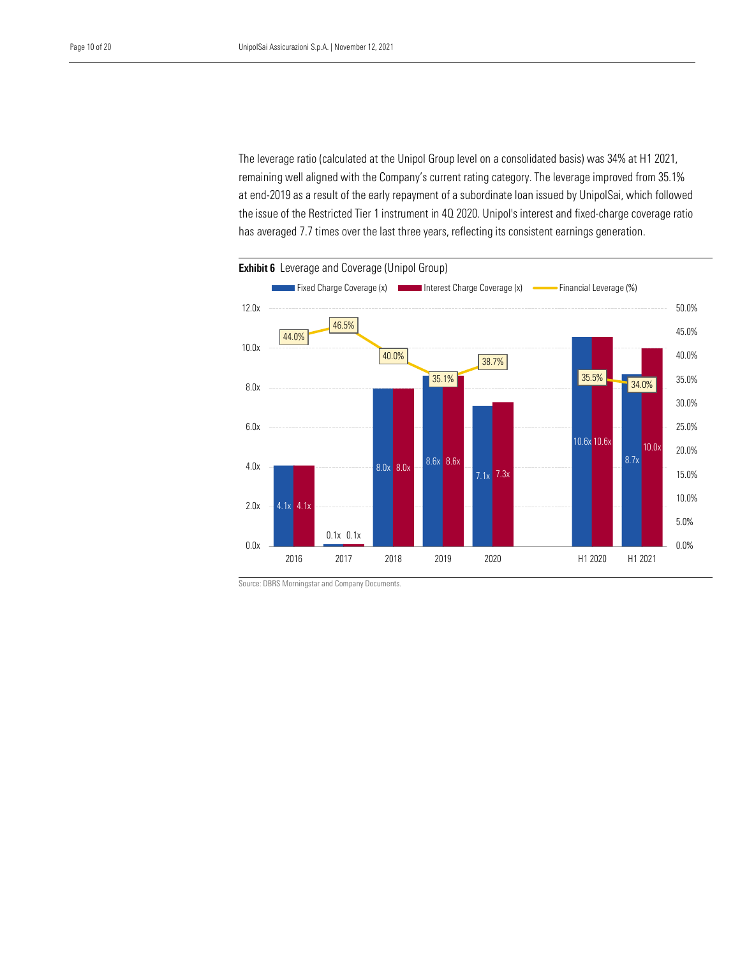The leverage ratio (calculated at the Unipol Group level on a consolidated basis) was 34% at H1 2021, remaining well aligned with the Company's current rating category. The leverage improved from 35.1% the issue of the Restricted Tier 1 instrument in 4Q 2020. Unipol's interest and fixed-charge coverage ratio has averaged 7.7 times over the last three years, reflecting its consistent earnings generation. at end-2019 as a result of the early repayment of a subordinate loan issued by UnipolSai, which followed



Source: DBRS Morningstar and Company Documents.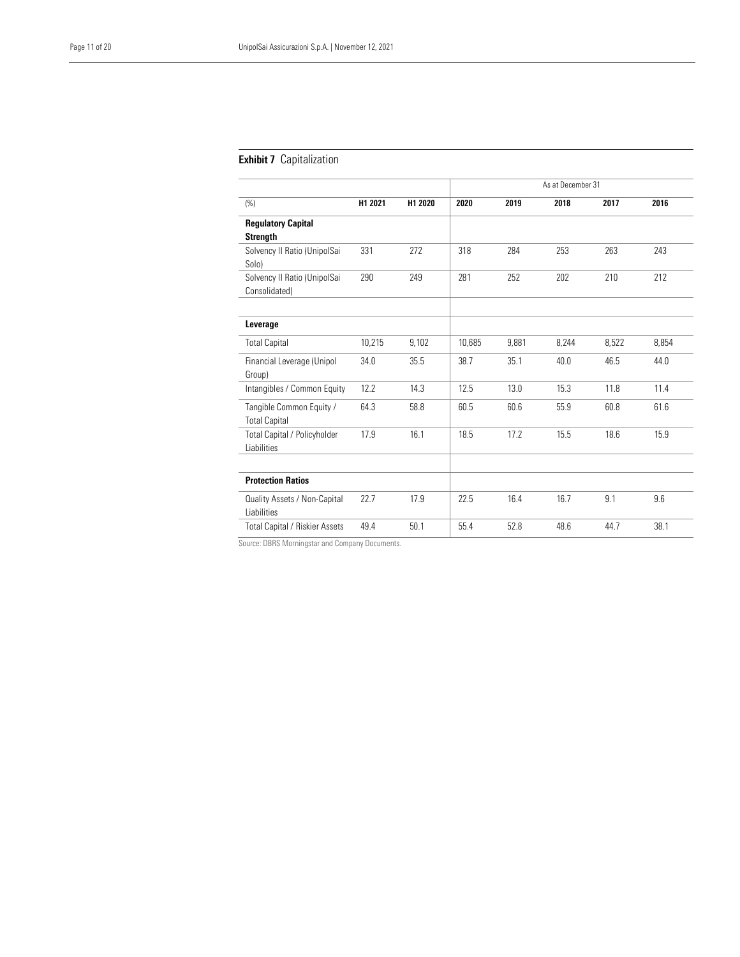#### **Exhibit 7** Capitalization

|                                                    |         |         | As at December 31 |       |       |       |       |
|----------------------------------------------------|---------|---------|-------------------|-------|-------|-------|-------|
| (%)                                                | H1 2021 | H1 2020 | 2020              | 2019  | 2018  | 2017  | 2016  |
| <b>Regulatory Capital</b><br><b>Strength</b>       |         |         |                   |       |       |       |       |
| Solvency II Ratio (UnipolSai<br>Solo)              | 331     | 272     | 318               | 284   | 253   | 263   | 243   |
| Solvency II Ratio (UnipolSai<br>Consolidated)      | 290     | 249     | 281               | 252   | 202   | 210   | 212   |
| Leverage                                           |         |         |                   |       |       |       |       |
| <b>Total Capital</b>                               | 10,215  | 9,102   | 10,685            | 9,881 | 8,244 | 8,522 | 8,854 |
| Financial Leverage (Unipol<br>Group)               | 34.0    | 35.5    | 38.7              | 35.1  | 40.0  | 46.5  | 44.0  |
| Intangibles / Common Equity                        | 12.2    | 14.3    | 12.5              | 13.0  | 15.3  | 11.8  | 11.4  |
| Tangible Common Equity /<br><b>Total Capital</b>   | 64.3    | 58.8    | 60.5              | 60.6  | 55.9  | 60.8  | 61.6  |
| <b>Total Capital / Policyholder</b><br>Liabilities | 17.9    | 16.1    | 18.5              | 17.2  | 15.5  | 18.6  | 15.9  |
| <b>Protection Ratios</b>                           |         |         |                   |       |       |       |       |
| Quality Assets / Non-Capital<br><b>Liabilities</b> | 22.7    | 17.9    | 22.5              | 16.4  | 16.7  | 9.1   | 9.6   |
| Total Capital / Riskier Assets                     | 49.4    | 50.1    | 55.4              | 52.8  | 48.6  | 44.7  | 38.1  |

Source: DBRS Morningstar and Company Documents.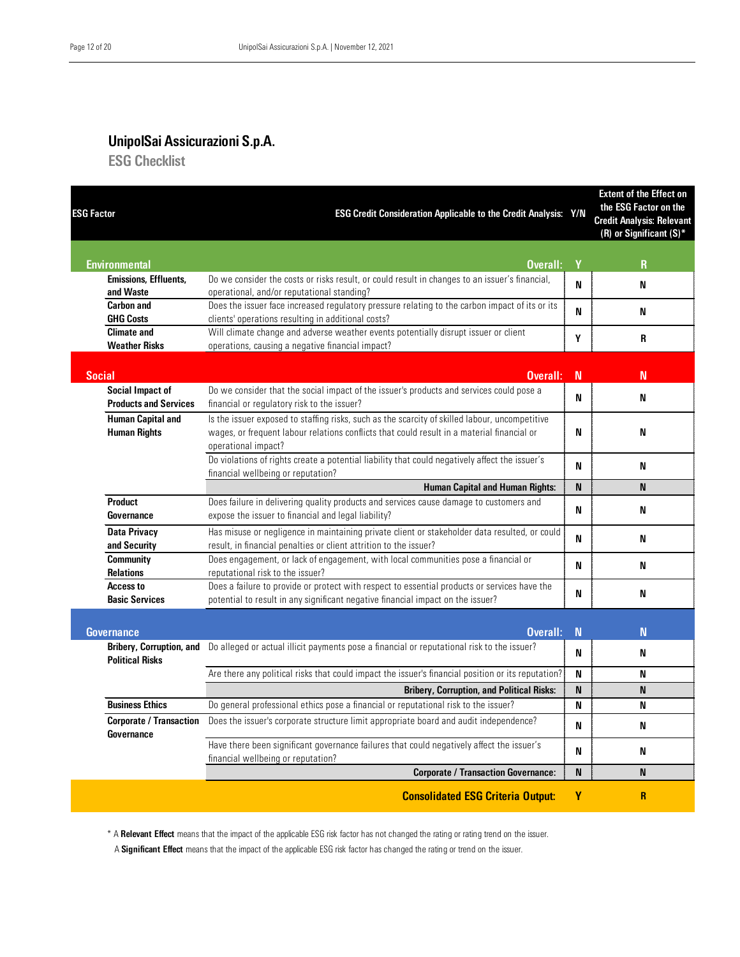#### UnipolSai Assicurazioni S.p.A. ESG Checklist

| <b>ESG Factor</b>                                | ESG Credit Consideration Applicable to the Credit Analysis: Y/N                                                                                                                                                     |             | <b>Extent of the Effect on</b><br>the ESG Factor on the<br><b>Credit Analysis: Relevant</b><br>(R) or Significant $(S)^*$ |
|--------------------------------------------------|---------------------------------------------------------------------------------------------------------------------------------------------------------------------------------------------------------------------|-------------|---------------------------------------------------------------------------------------------------------------------------|
| <b>Environmental</b>                             | Overall:                                                                                                                                                                                                            | Y           | $\mathbf R$                                                                                                               |
| <b>Emissions, Effluents,</b><br>and Waste        | Do we consider the costs or risks result, or could result in changes to an issuer's financial,<br>operational, and/or reputational standing?                                                                        | N           | N                                                                                                                         |
| <b>Carbon and</b><br><b>GHG Costs</b>            | Does the issuer face increased regulatory pressure relating to the carbon impact of its or its<br>clients' operations resulting in additional costs?                                                                | N           | N                                                                                                                         |
| <b>Climate and</b><br><b>Weather Risks</b>       | Will climate change and adverse weather events potentially disrupt issuer or client<br>operations, causing a negative financial impact?                                                                             | Y           | R                                                                                                                         |
| <b>Social</b>                                    | Overall:                                                                                                                                                                                                            | $\mathbf N$ | N                                                                                                                         |
| Social Impact of<br><b>Products and Services</b> | Do we consider that the social impact of the issuer's products and services could pose a<br>financial or regulatory risk to the issuer?                                                                             | N           | N                                                                                                                         |
| <b>Human Capital and</b><br><b>Human Rights</b>  | Is the issuer exposed to staffing risks, such as the scarcity of skilled labour, uncompetitive<br>wages, or frequent labour relations conflicts that could result in a material financial or<br>operational impact? | N           | N                                                                                                                         |
|                                                  | Do violations of rights create a potential liability that could negatively affect the issuer's<br>financial wellbeing or reputation?                                                                                | N           | N                                                                                                                         |
|                                                  | <b>Human Capital and Human Rights:</b>                                                                                                                                                                              | N           | N                                                                                                                         |
| <b>Product</b><br>Governance                     | Does failure in delivering quality products and services cause damage to customers and<br>expose the issuer to financial and legal liability?                                                                       | N           | N                                                                                                                         |
| <b>Data Privacy</b><br>and Security              | Has misuse or negligence in maintaining private client or stakeholder data resulted, or could<br>result, in financial penalties or client attrition to the issuer?                                                  | N           | N                                                                                                                         |
| <b>Community</b><br><b>Relations</b>             | Does engagement, or lack of engagement, with local communities pose a financial or<br>reputational risk to the issuer?                                                                                              | N           | N                                                                                                                         |
| Access to<br><b>Basic Services</b>               | Does a failure to provide or protect with respect to essential products or services have the<br>potential to result in any significant negative financial impact on the issuer?                                     | N           | N                                                                                                                         |
| <b>Governance</b>                                | Overall:                                                                                                                                                                                                            | $\mathbf N$ | N                                                                                                                         |
| <b>Political Risks</b>                           | Bribery, Corruption, and Do alleged or actual illicit payments pose a financial or reputational risk to the issuer?                                                                                                 | N           | N                                                                                                                         |
|                                                  | Are there any political risks that could impact the issuer's financial position or its reputation?                                                                                                                  | N           | N                                                                                                                         |
|                                                  | <b>Bribery, Corruption, and Political Risks:</b>                                                                                                                                                                    | N           | N                                                                                                                         |
| <b>Business Ethics</b>                           | Do general professional ethics pose a financial or reputational risk to the issuer?                                                                                                                                 | N           | N                                                                                                                         |
| <b>Corporate / Transaction</b><br>Governance     | Does the issuer's corporate structure limit appropriate board and audit independence?                                                                                                                               | N           | N                                                                                                                         |
|                                                  | Have there been significant governance failures that could negatively affect the issuer's<br>financial wellbeing or reputation?                                                                                     | N           | N                                                                                                                         |
|                                                  | <b>Corporate / Transaction Governance:</b>                                                                                                                                                                          | N           | N                                                                                                                         |
|                                                  | <b>Consolidated ESG Criteria Output:</b>                                                                                                                                                                            | Y           | $\overline{R}$                                                                                                            |

\* A Relevant Effect means that the impact of the applicable ESG risk factor has not changed the rating or rating trend on the issuer.

A Significant Effect means that the impact of the applicable ESG risk factor has changed the rating or trend on the issuer.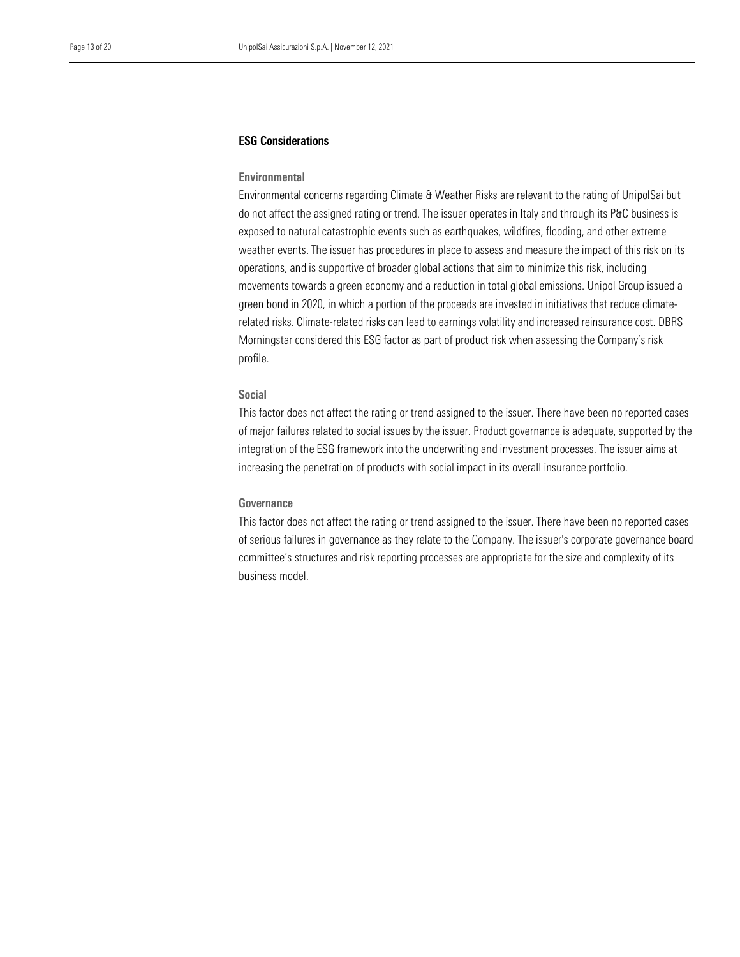#### ESG Considerations

#### Environmental

 do not affect the assigned rating or trend. The issuer operates in Italy and through its P&C business is exposed to natural catastrophic events such as earthquakes, wildfires, flooding, and other extreme Environmental concerns regarding Climate & Weather Risks are relevant to the rating of UnipolSai but weather events. The issuer has procedures in place to assess and measure the impact of this risk on its operations, and is supportive of broader global actions that aim to minimize this risk, including movements towards a green economy and a reduction in total global emissions. Unipol Group issued a green bond in 2020, in which a portion of the proceeds are invested in initiatives that reduce climaterelated risks. Climate-related risks can lead to earnings volatility and increased reinsurance cost. DBRS Morningstar considered this ESG factor as part of product risk when assessing the Company's risk profile.

#### Social

This factor does not affect the rating or trend assigned to the issuer. There have been no reported cases of major failures related to social issues by the issuer. Product governance is adequate, supported by the integration of the ESG framework into the underwriting and investment processes. The issuer aims at increasing the penetration of products with social impact in its overall insurance portfolio.

#### Governance

This factor does not affect the rating or trend assigned to the issuer. There have been no reported cases of serious failures in governance as they relate to the Company. The issuer's corporate governance board committee's structures and risk reporting processes are appropriate for the size and complexity of its business model.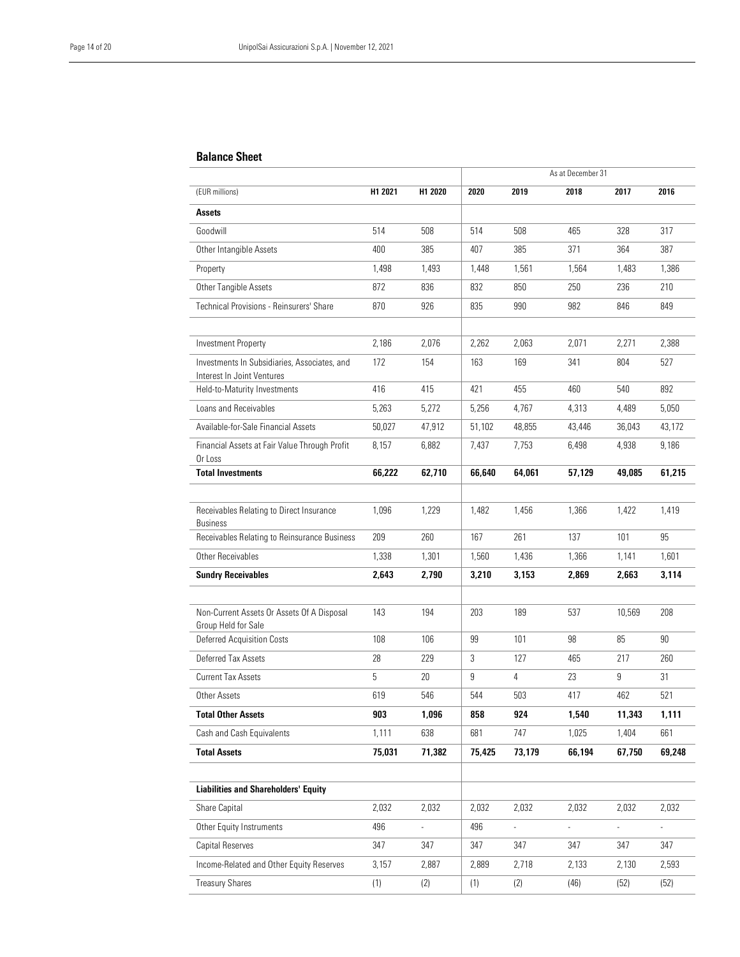#### Balance Sheet

|                                                                            |         |                |        |                | As at December 31 |                |        |
|----------------------------------------------------------------------------|---------|----------------|--------|----------------|-------------------|----------------|--------|
| (EUR millions)                                                             | H1 2021 | H1 2020        | 2020   | 2019           | 2018              | 2017           | 2016   |
| Assets                                                                     |         |                |        |                |                   |                |        |
| Goodwill                                                                   | 514     | 508            | 514    | 508            | 465               | 328            | 317    |
| Other Intangible Assets                                                    | 400     | 385            | 407    | 385            | 371               | 364            | 387    |
| Property                                                                   | 1,498   | 1,493          | 1,448  | 1,561          | 1,564             | 1,483          | 1,386  |
| Other Tangible Assets                                                      | 872     | 836            | 832    | 850            | 250               | 236            | 210    |
| Technical Provisions - Reinsurers' Share                                   | 870     | 926            | 835    | 990            | 982               | 846            | 849    |
| <b>Investment Property</b>                                                 | 2,186   | 2,076          | 2,262  | 2,063          | 2,071             | 2,271          | 2,388  |
| Investments In Subsidiaries, Associates, and<br>Interest In Joint Ventures | 172     | 154            | 163    | 169            | 341               | 804            | 527    |
| Held-to-Maturity Investments                                               | 416     | 415            | 421    | 455            | 460               | 540            | 892    |
| Loans and Receivables                                                      | 5,263   | 5,272          | 5,256  | 4,767          | 4,313             | 4,489          | 5,050  |
| Available-for-Sale Financial Assets                                        | 50,027  | 47,912         | 51,102 | 48,855         | 43,446            | 36,043         | 43,172 |
| Financial Assets at Fair Value Through Profit<br>Or Loss                   | 8,157   | 6,882          | 7,437  | 7,753          | 6,498             | 4,938          | 9,186  |
| <b>Total Investments</b>                                                   | 66,222  | 62,710         | 66,640 | 64,061         | 57,129            | 49,085         | 61,215 |
|                                                                            |         |                |        |                |                   |                |        |
| Receivables Relating to Direct Insurance<br><b>Business</b>                | 1,096   | 1,229          | 1,482  | 1.456          | 1,366             | 1,422          | 1,419  |
| Receivables Relating to Reinsurance Business                               | 209     | 260            | 167    | 261            | 137               | 101            | 95     |
| Other Receivables                                                          | 1,338   | 1,301          | 1,560  | 1,436          | 1,366             | 1,141          | 1,601  |
| <b>Sundry Receivables</b>                                                  | 2,643   | 2,790          | 3,210  | 3,153          | 2,869             | 2,663          | 3,114  |
| Non-Current Assets Or Assets Of A Disposal<br>Group Held for Sale          | 143     | 194            | 203    | 189            | 537               | 10,569         | 208    |
| <b>Deferred Acquisition Costs</b>                                          | 108     | 106            | 99     | 101            | 98                | 85             | 90     |
| Deferred Tax Assets                                                        | 28      | 229            | 3      | 127            | 465               | 217            | 260    |
| <b>Current Tax Assets</b>                                                  | 5       | 20             | 9      | $\overline{4}$ | 23                | 9              | 31     |
| Other Assets                                                               | 619     | 546            | 544    | 503            | 417               | 462            | 521    |
| <b>Total Other Assets</b>                                                  | 903     | 1,096          | 858    | 924            | 1,540             | 11,343         | 1,111  |
| Cash and Cash Equivalents                                                  | 1,111   | 638            | 681    | 747            | 1,025             | 1,404          | 661    |
| <b>Total Assets</b>                                                        | 75,031  | 71,382         | 75,425 | 73,179         | 66,194            | 67,750         | 69,248 |
| Liabilities and Shareholders' Equity                                       |         |                |        |                |                   |                |        |
| Share Capital                                                              | 2,032   | 2,032          | 2,032  | 2,032          | 2,032             | 2,032          | 2,032  |
| Other Equity Instruments                                                   | 496     | $\overline{a}$ | 496    | $\frac{1}{2}$  | $\overline{a}$    | $\overline{a}$ |        |
| Capital Reserves                                                           | 347     | 347            | 347    | 347            | 347               | 347            | 347    |
| Income-Related and Other Equity Reserves                                   | 3,157   | 2,887          | 2,889  | 2,718          | 2,133             | 2,130          | 2,593  |
| <b>Treasury Shares</b>                                                     | (1)     | (2)            | (1)    | (2)            | (46)              | (52)           | (52)   |
|                                                                            |         |                |        |                |                   |                |        |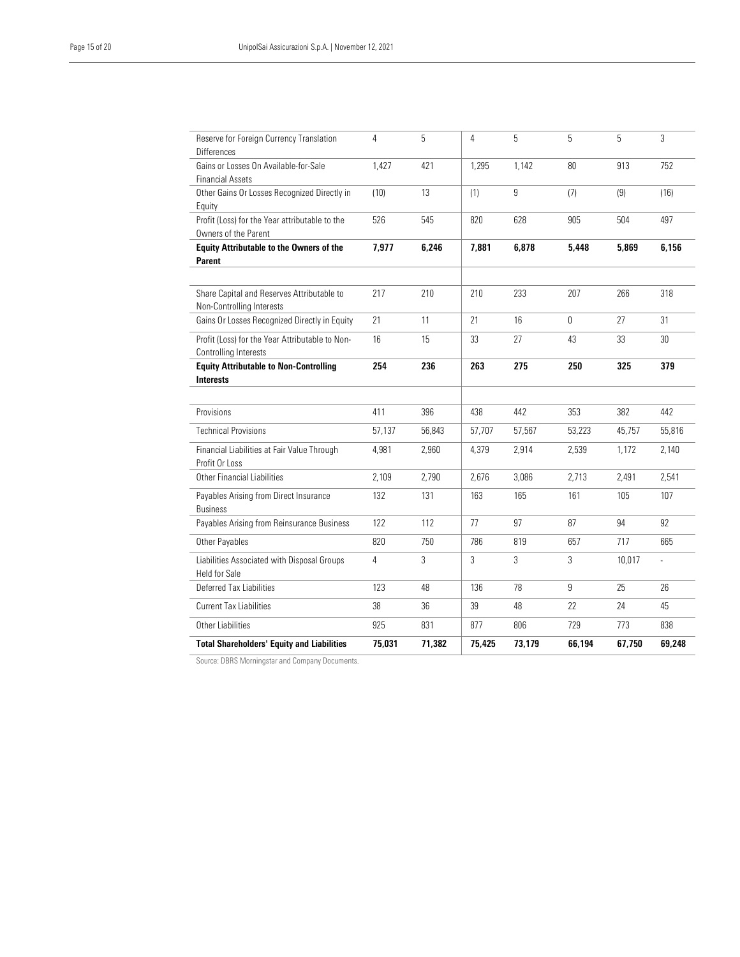L

| <b>Total Shareholders' Equity and Liabilities</b>                          | 75,031         | 71,382 | 75,425 | 73,179 | 66,194       | 67,750 | 69,248        |
|----------------------------------------------------------------------------|----------------|--------|--------|--------|--------------|--------|---------------|
| Other Liabilities                                                          | 925            | 831    | 877    | 806    | 729          | 773    | 838           |
| <b>Current Tax Liabilities</b>                                             | 38             | 36     | 39     | 48     | 22           | 24     | 45            |
| Deferred Tax Liabilities                                                   | 123            | 48     | 136    | 78     | 9            | 25     | 26            |
| <b>Held for Sale</b>                                                       |                |        |        |        |              |        |               |
| Liabilities Associated with Disposal Groups                                | $\overline{4}$ | 3      | 3      | 3      | 3            | 10,017 | $\frac{1}{2}$ |
| Other Payables                                                             | 820            | 750    | 786    | 819    | 657          | 717    | 665           |
| <b>Business</b><br>Payables Arising from Reinsurance Business              | 122            | 112    | 77     | 97     | 87           | 94     | 92            |
| Payables Arising from Direct Insurance                                     | 132            | 131    | 163    | 165    | 161          | 105    | 107           |
| Other Financial Liabilities                                                | 2,109          | 2,790  | 2,676  | 3,086  | 2,713        | 2,491  | 2,541         |
| Financial Liabilities at Fair Value Through<br>Profit Or Loss              | 4.981          | 2.960  | 4.379  | 2,914  | 2.539        | 1,172  | 2,140         |
| <b>Technical Provisions</b>                                                | 57,137         | 56,843 | 57,707 | 57,567 | 53,223       | 45,757 | 55,816        |
| Provisions                                                                 | 411            | 396    | 438    | 442    | 353          | 382    | 442           |
|                                                                            |                |        |        |        |              |        |               |
| <b>Equity Attributable to Non-Controlling</b><br><b>Interests</b>          | 254            | 236    | 263    | 275    | 250          | 325    | 379           |
| Controlling Interests                                                      |                |        |        |        |              |        |               |
| Profit (Loss) for the Year Attributable to Non-                            | 16             | 15     | 33     | 27     | 43           | 33     | 30            |
| Non-Controlling Interests<br>Gains Or Losses Recognized Directly in Equity | 21             | 11     | 21     | 16     | $\mathbf{0}$ | 27     | 31            |
| Share Capital and Reserves Attributable to                                 | 217            | 210    | 210    | 233    | 207          | 266    | 318           |
| Parent                                                                     |                |        |        |        |              |        |               |
| <b>Equity Attributable to the Owners of the</b>                            | 7,977          | 6,246  | 7,881  | 6,878  | 5,448        | 5,869  | 6,156         |
| Profit (Loss) for the Year attributable to the<br>Owners of the Parent     | 526            | 545    | 820    | 628    | 905          | 504    | 497           |
| Equity                                                                     |                |        |        |        |              |        |               |
| Other Gains Or Losses Recognized Directly in                               | (10)           | 13     | (1)    | 9      | (7)          | (9)    | (16)          |
| Gains or Losses On Available-for-Sale<br><b>Financial Assets</b>           | 1,427          | 421    | 1,295  | 1,142  | 80           | 913    | 752           |
| Reserve for Foreign Currency Translation<br><b>Differences</b>             | $\overline{4}$ | 5      | 4      | 5      | 5            | 5      | $\sqrt{3}$    |

Source: DBRS Morningstar and Company Documents.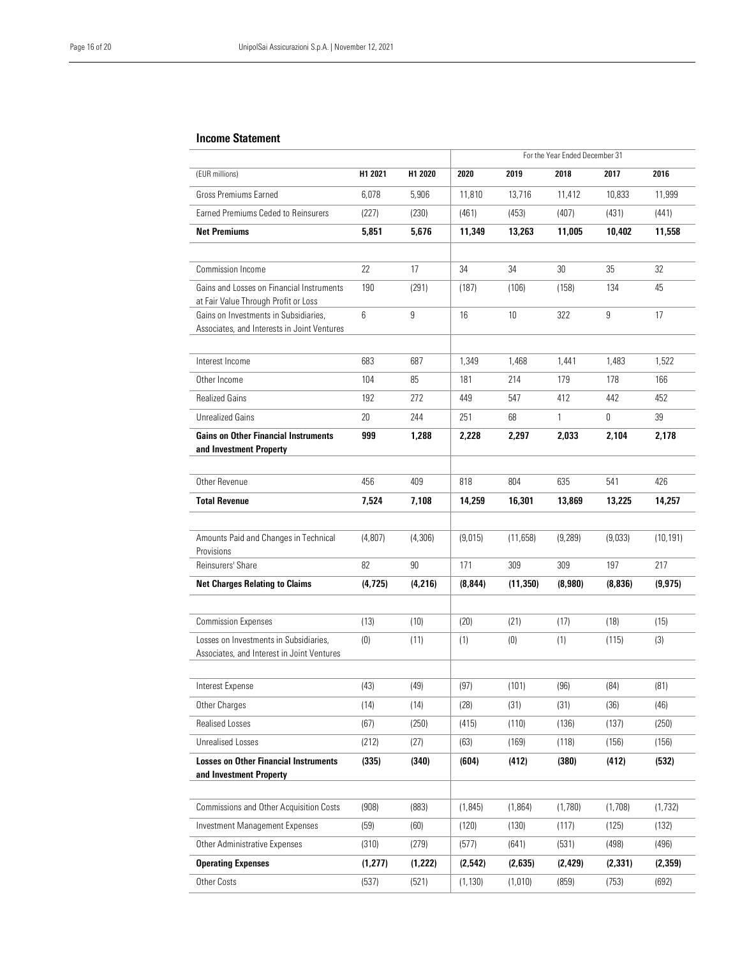#### Income Statement

|                                                                                   |                 |          | For the Year Ended December 31 |           |              |          |           |
|-----------------------------------------------------------------------------------|-----------------|----------|--------------------------------|-----------|--------------|----------|-----------|
| (EUR millions)                                                                    | H1 2021         | H1 2020  | 2020                           | 2019      | 2018         | 2017     | 2016      |
| Gross Premiums Earned                                                             | 6,078           | 5,906    | 11.810                         | 13,716    | 11,412       | 10,833   | 11,999    |
| <b>Farned Premiums Ceded to Reinsurers</b>                                        | (227)           | (230)    | (461)                          | (453)     | (407)        | (431)    | (441)     |
| <b>Net Premiums</b>                                                               | 5,851           | 5,676    | 11,349                         | 13,263    | 11,005       | 10,402   | 11,558    |
|                                                                                   |                 |          |                                |           |              |          |           |
| <b>Commission Income</b>                                                          | 22              | 17       | 34                             | 34        | 30           | 35       | 32        |
| Gains and Losses on Financial Instruments<br>at Fair Value Through Profit or Loss | 190             | (291)    | (187)                          | (106)     | (158)        | 134      | 45        |
| Gains on Investments in Subsidiaries,                                             | $6\overline{6}$ | 9        | 16                             | 10        | 322          | 9        | 17        |
| Associates, and Interests in Joint Ventures                                       |                 |          |                                |           |              |          |           |
| Interest Income                                                                   | 683             | 687      | 1,349                          | 1,468     | 1,441        | 1,483    | 1,522     |
| Other Income                                                                      | 104             | 85       | 181                            | 214       | 179          | 178      | 166       |
| <b>Realized Gains</b>                                                             | 192             | 272      | 449                            | 547       | 412          | 442      | 452       |
| <b>Unrealized Gains</b>                                                           | 20              | 244      | 251                            | 68        | $\mathbf{1}$ | 0        | 39        |
| <b>Gains on Other Financial Instruments</b>                                       | 999             | 1,288    | 2,228                          | 2,297     | 2,033        | 2,104    | 2,178     |
| and Investment Property                                                           |                 |          |                                |           |              |          |           |
|                                                                                   |                 |          |                                |           |              |          |           |
| Other Revenue                                                                     | 456             | 409      | 818                            | 804       | 635          | 541      | 426       |
| <b>Total Revenue</b>                                                              | 7,524           | 7.108    | 14.259                         | 16,301    | 13,869       | 13,225   | 14,257    |
|                                                                                   |                 |          |                                |           |              |          |           |
| Amounts Paid and Changes in Technical<br>Provisions                               | (4,807)         | (4, 306) | (9,015)                        | (11,658)  | (9, 289)     | (9,033)  | (10, 191) |
| Reinsurers' Share                                                                 | 82              | 90       | 171                            | 309       | 309          | 197      | 217       |
| <b>Net Charges Relating to Claims</b>                                             | (4, 725)        | (4,216)  | (8, 844)                       | (11, 350) | (8,980)      | (8, 836) | (9, 975)  |
|                                                                                   |                 |          |                                |           |              |          |           |
| <b>Commission Expenses</b>                                                        | (13)            | (10)     | (20)                           | (21)      | (17)         | (18)     | (15)      |
| Losses on Investments in Subsidiaries,                                            | (0)             | (11)     | (1)                            | (0)       | (1)          | (115)    | (3)       |
| Associates, and Interest in Joint Ventures                                        |                 |          |                                |           |              |          |           |
| Interest Expense                                                                  | (43)            | (49)     | (97)                           | (101)     | (96)         | (84)     | (81)      |
| Other Charges                                                                     | (14)            | (14)     | (28)                           | (31)      | (31)         | (36)     | (46)      |
| <b>Realised Losses</b>                                                            | (67)            | (250)    | (415)                          | (110)     | (136)        | (137)    | (250)     |
| <b>Unrealised Losses</b>                                                          | (212)           | (27)     | (63)                           | (169)     | (118)        | (156)    | (156)     |
| <b>Losses on Other Financial Instruments</b>                                      | (335)           | (340)    | (604)                          | (412)     | (380)        | (412)    | (532)     |
| and Investment Property                                                           |                 |          |                                |           |              |          |           |
|                                                                                   |                 |          |                                |           |              |          |           |
| <b>Commissions and Other Acquisition Costs</b>                                    | (908)           | (883)    | (1, 845)                       | (1, 864)  | (1,780)      | (1,708)  | (1, 732)  |
| <b>Investment Management Expenses</b>                                             | (59)            | (60)     | (120)                          | (130)     | (117)        | (125)    | (132)     |
| Other Administrative Expenses                                                     | (310)           | (279)    | (577)                          | (641)     | (531)        | (498)    | (496)     |
| <b>Operating Expenses</b>                                                         | (1, 277)        | (1,222)  | (2, 542)                       | (2,635)   | (2, 429)     | (2, 331) | (2, 359)  |
| Other Costs                                                                       | (537)           | (521)    | (1, 130)                       | (1,010)   | (859)        | (753)    | (692)     |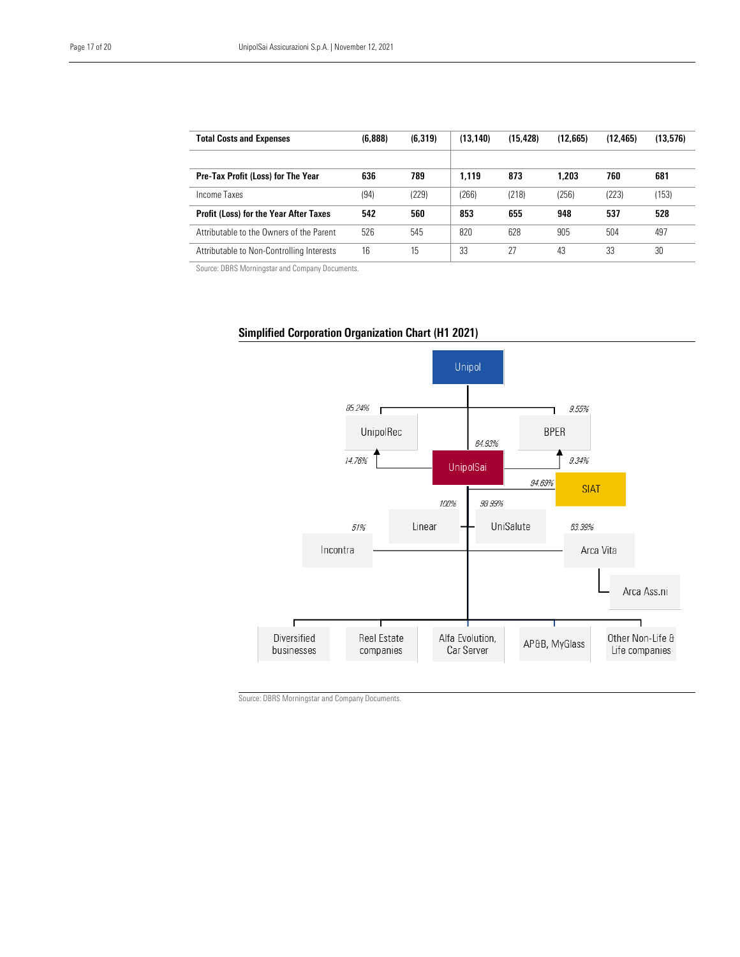| <b>Total Costs and Expenses</b>               | (6,888) | (6, 319) | (13, 140) | (15, 428) | (12,665) | (12.465) | (13,576) |
|-----------------------------------------------|---------|----------|-----------|-----------|----------|----------|----------|
|                                               |         |          |           |           |          |          |          |
| <b>Pre-Tax Profit (Loss) for The Year</b>     | 636     | 789      | 1.119     | 873       | 1.203    | 760      | 681      |
| Income Taxes                                  | (94)    | (229)    | (266)     | (218)     | (256)    | (223)    | (153)    |
| <b>Profit (Loss) for the Year After Taxes</b> | 542     | 560      | 853       | 655       | 948      | 537      | 528      |
| Attributable to the Owners of the Parent      | 526     | 545      | 820       | 628       | 905      | 504      | 497      |
| Attributable to Non-Controlling Interests     | 16      | 15       | 33        | 27        | 43       | 33       | 30       |

Source: DBRS Morningstar and Company Documents.

L



#### Simplified Corporation Organization Chart (H1 2021)

Source: DBRS Morningstar and Company Documents.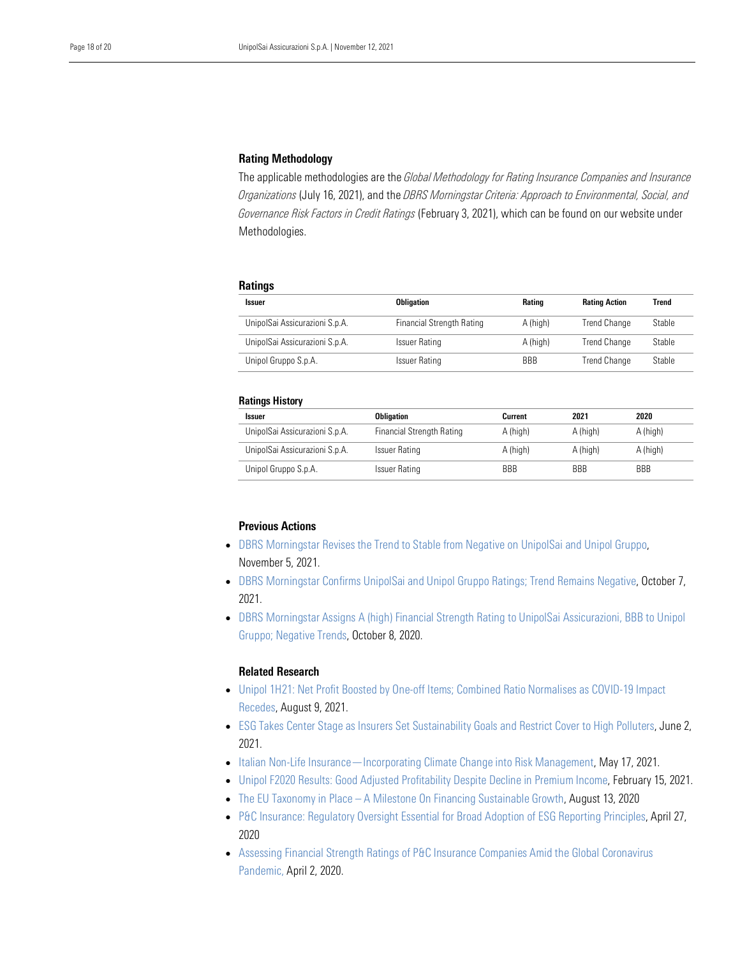### Rating Methodology

 The applicable methodologies are the *Global Methodology for Rating Insurance Companies and Insurance Governance Risk Factors in Credit Ratings* (February 3, 2021), which can be found on our website under Methodologies. *Organizations* (July 16, 2021), and the *DBRS Morningstar Criteria: Approach to Environmental, Social, and* 

#### **Ratings**

| <b>Issuer</b>                  | <b>Obligation</b>                | Rating     | <b>Rating Action</b> | Trend  |
|--------------------------------|----------------------------------|------------|----------------------|--------|
| UnipolSai Assicurazioni S.p.A. | <b>Financial Strength Rating</b> | A (high)   | <b>Trend Change</b>  | Stable |
| UnipolSai Assicurazioni S.p.A. | <b>Issuer Rating</b>             | A (high)   | <b>Trend Change</b>  | Stable |
| Unipol Gruppo S.p.A.           | <b>Issuer Rating</b>             | <b>BBB</b> | <b>Trend Change</b>  | Stable |

#### Ratings History

| <b>Issuer</b>                  | <b>Obligation</b>         | Current    | 2021       | 2020       |
|--------------------------------|---------------------------|------------|------------|------------|
| UnipolSai Assicurazioni S.p.A. | Financial Strength Rating | A (high)   | A (high)   | A (high)   |
| UnipolSai Assicurazioni S.p.A. | Issuer Rating             | A (high)   | A (high)   | A (high)   |
| Unipol Gruppo S.p.A.           | Issuer Rating             | <b>BBB</b> | <b>BBB</b> | <b>BBB</b> |

#### Previous Actions

- DBRS Morningstar Revises the Trend to Stable from Negative on UnipolSai and Unipol Gruppo, November 5, 2021.
- [DBRS Morningstar Confirms UnipolSai and Unipol Gruppo Ratings; Trend Remains Negative,](https://www.dbrsmorningstar.com/research/385580/dbrs-morningstar-confirms-unipolsai-and-unipol-gruppo-ratings-trend-remains-negative) October 7, 2021.
- [DBRS Morningstar Assigns A \(high\) Financial Strength Rating to UnipolSai Assicurazioni, BBB to Unipol](https://www.dbrsmorningstar.com/research/368100/dbrs-morningstar-assigns-a-high-financial-strength-rating-to-unipolsai-assicurazioni-bbb-to-unipol-gruppo-negative-trends)  [Gruppo; Negative Trends,](https://www.dbrsmorningstar.com/research/368100/dbrs-morningstar-assigns-a-high-financial-strength-rating-to-unipolsai-assicurazioni-bbb-to-unipol-gruppo-negative-trends) October 8, 2020.

#### Related Research

- [Unipol 1H21: Net Profit Boosted by One-off Items; Combined Ratio Normalises as COVID-19 Impact](https://www.dbrsmorningstar.com/research/382762/unipol-1h21-net-profit-boosted-by-one-off-items-combined-ratio-normalises-as-covid-19-impact-recedes)  [Recedes,](https://www.dbrsmorningstar.com/research/382762/unipol-1h21-net-profit-boosted-by-one-off-items-combined-ratio-normalises-as-covid-19-impact-recedes) August 9, 2021.
- [ESG Takes Center Stage as Insurers Set Sustainability Goals and Restrict Cover to High Polluters,](https://www.dbrsmorningstar.com/research/379490/esg-takes-center-stage-as-insurers-set-sustainability-goals-and-restrict-cover-to-high-polluters) June 2, 2021.
- [Italian Non-Life Insurance—Incorporating Climate Change into Risk Management,](https://www.dbrsmorningstar.com/research/378463/italian-non-life-insuranceincorporating-climate-change-into-risk-management) May 17, 2021.
- [Unipol F2020 Results: Good Adjusted Profitability Despite Decline in Premium Income,](https://www.dbrsmorningstar.com/research/373667/unipol-f2020-results-good-adjusted-profitability-despite-decline-in-premium-income) February 15, 2021.
- The EU Taxonomy in Place [A Milestone On Financing Sustainable Growth,](https://www.dbrsmorningstar.com/research/365609/the-eu-taxonomy-in-place-a-milestone-on-financing-sustainable-growth) August 13, 2020
- [P&C Insurance: Regulatory Oversight Essential for Broad Adoption of ESG Reporting Principles,](https://www.dbrsmorningstar.com/research/360065/pc-insurance-regulatory-oversight-essential-for-broad-adoption-of-esg-reporting-principles) April 27, 2020
- [Assessing Financial Strength Ratings of P&C Insurance Companies Amid the Global Coronavirus](https://www.dbrsmorningstar.com/research/359121/assessing-financial-strength-ratings-of-pc-insurance-companies-amid-the-global-coronavirus-pandemic)  [Pandemic,](https://www.dbrsmorningstar.com/research/359121/assessing-financial-strength-ratings-of-pc-insurance-companies-amid-the-global-coronavirus-pandemic) April 2, 2020.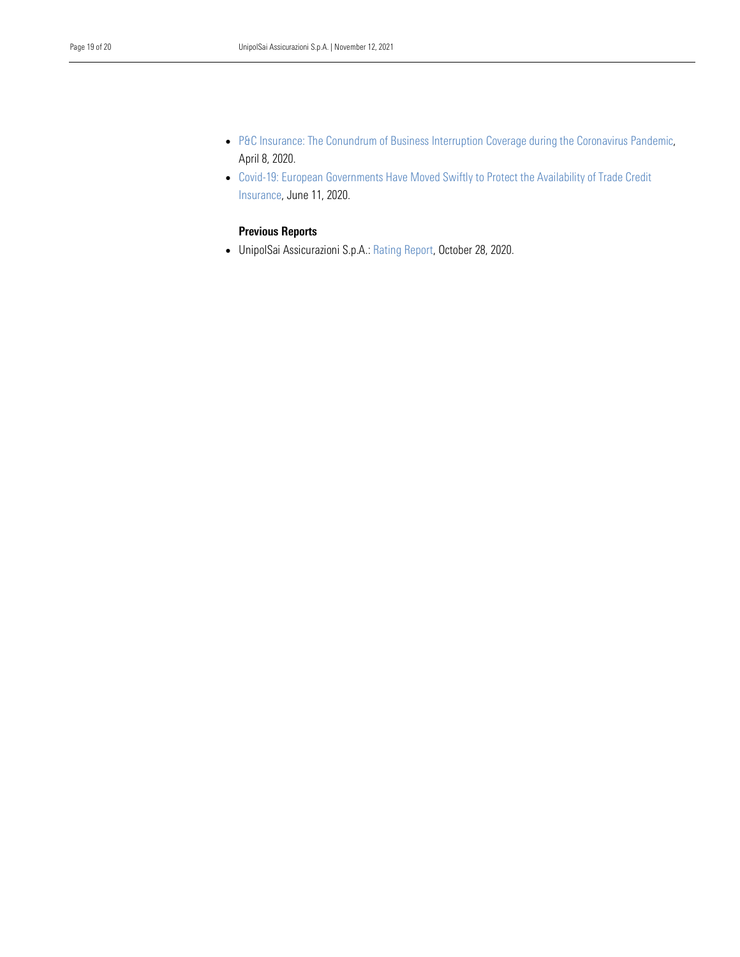- April 8, 2020. • P&C Insurance: The Conundrum of Business Interruption Coverage during the Coronavirus Pandemic,
- • [Covid-19: European Governments Have Moved Swiftly to Protect the Availability of Trade Credit](https://www.dbrsmorningstar.com/research/359121/assessing-financial-strength-ratings-of-pc-insurance-companies-amid-the-global-coronavirus-pandemic)  [Insurance,](https://www.dbrsmorningstar.com/research/359121/assessing-financial-strength-ratings-of-pc-insurance-companies-amid-the-global-coronavirus-pandemic) June 11, 2020.

#### Previous Reports

• UnipolSai Assicurazioni S.p.A.: [Rating Report,](https://www.dbrsmorningstar.com/research/369025/unipolsai-assicurazioni-spa-rating-report) October 28, 2020.